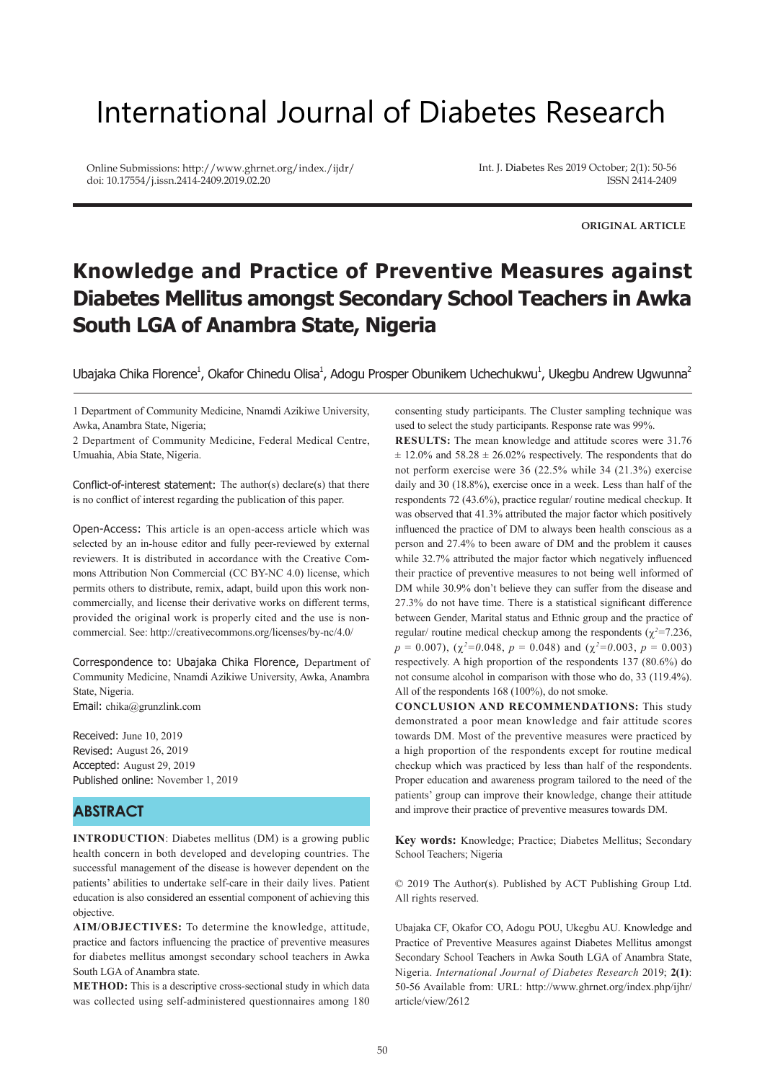# International Journal of Diabetes Research

Online Submissions: http://www.ghrnet.org/index./ijdr/ doi: 10.17554/j.issn.2414-2409.2019.02.20

Int. J. Diabetes Res 2019 October; 2(1): 50-56 ISSN 2414-2409

**ORIGINAL ARTICLE**

## **Knowledge and Practice of Preventive Measures against Diabetes Mellitus amongst Secondary School Teachers in Awka South LGA of Anambra State, Nigeria**

Ubajaka Chika Florence<sup>1</sup>, Okafor Chinedu Olisa<sup>1</sup>, Adogu Prosper Obunikem Uchechukwu<sup>1</sup>, Ukegbu Andrew Ugwunna<sup>2</sup>

1 Department of Community Medicine, Nnamdi Azikiwe University, Awka, Anambra State, Nigeria;

2 Department of Community Medicine, Federal Medical Centre, Umuahia, Abia State, Nigeria.

Conflict-of-interest statement: The author(s) declare(s) that there is no conflict of interest regarding the publication of this paper.

Open-Access: This article is an open-access article which was selected by an in-house editor and fully peer-reviewed by external reviewers. It is distributed in accordance with the Creative Commons Attribution Non Commercial (CC BY-NC 4.0) license, which permits others to distribute, remix, adapt, build upon this work noncommercially, and license their derivative works on different terms, provided the original work is properly cited and the use is noncommercial. See: http://creativecommons.org/licenses/by-nc/4.0/

Correspondence to: Ubajaka Chika Florence, Department of Community Medicine, Nnamdi Azikiwe University, Awka, Anambra State, Nigeria.

Email: chika@grunzlink.com

Received: June 10, 2019 Revised: August 26, 2019 Accepted: August 29, 2019 Published online: November 1, 2019

## **ABSTRACT**

**INTRODUCTION**: Diabetes mellitus (DM) is a growing public health concern in both developed and developing countries. The successful management of the disease is however dependent on the patients' abilities to undertake self-care in their daily lives. Patient education is also considered an essential component of achieving this objective.

**AIM/OBJECTIVES:** To determine the knowledge, attitude, practice and factors influencing the practice of preventive measures for diabetes mellitus amongst secondary school teachers in Awka South LGA of Anambra state.

**METHOD:** This is a descriptive cross-sectional study in which data was collected using self-administered questionnaires among 180 consenting study participants. The Cluster sampling technique was used to select the study participants. Response rate was 99%.

**RESULTS:** The mean knowledge and attitude scores were 31.76  $\pm$  12.0% and 58.28  $\pm$  26.02% respectively. The respondents that do not perform exercise were 36 (22.5% while 34 (21.3%) exercise daily and 30 (18.8%), exercise once in a week. Less than half of the respondents 72 (43.6%), practice regular/ routine medical checkup. It was observed that 41.3% attributed the major factor which positively influenced the practice of DM to always been health conscious as a person and 27.4% to been aware of DM and the problem it causes while 32.7% attributed the major factor which negatively influenced their practice of preventive measures to not being well informed of DM while 30.9% don't believe they can suffer from the disease and 27.3% do not have time. There is a statistical significant difference between Gender, Marital status and Ethnic group and the practice of regular/ routine medical checkup among the respondents ( $\chi^2$ =7.236,  $p = 0.007$ , ( $\chi^2 = 0.048$ ,  $p = 0.048$ ) and ( $\chi^2 = 0.003$ ,  $p = 0.003$ ) respectively. A high proportion of the respondents 137 (80.6%) do not consume alcohol in comparison with those who do, 33 (119.4%). All of the respondents 168 (100%), do not smoke.

**CONCLUSION AND RECOMMENDATIONS:** This study demonstrated a poor mean knowledge and fair attitude scores towards DM. Most of the preventive measures were practiced by a high proportion of the respondents except for routine medical checkup which was practiced by less than half of the respondents. Proper education and awareness program tailored to the need of the patients' group can improve their knowledge, change their attitude and improve their practice of preventive measures towards DM.

**Key words:** Knowledge; Practice; Diabetes Mellitus; Secondary School Teachers; Nigeria

© 2019 The Author(s). Published by ACT Publishing Group Ltd. All rights reserved.

Ubajaka CF, Okafor CO, Adogu POU, Ukegbu AU. Knowledge and Practice of Preventive Measures against Diabetes Mellitus amongst Secondary School Teachers in Awka South LGA of Anambra State, Nigeria. *International Journal of Diabetes Research* 2019; **2(1)**: 50-56 Available from: URL: http://www.ghrnet.org/index.php/ijhr/ article/view/2612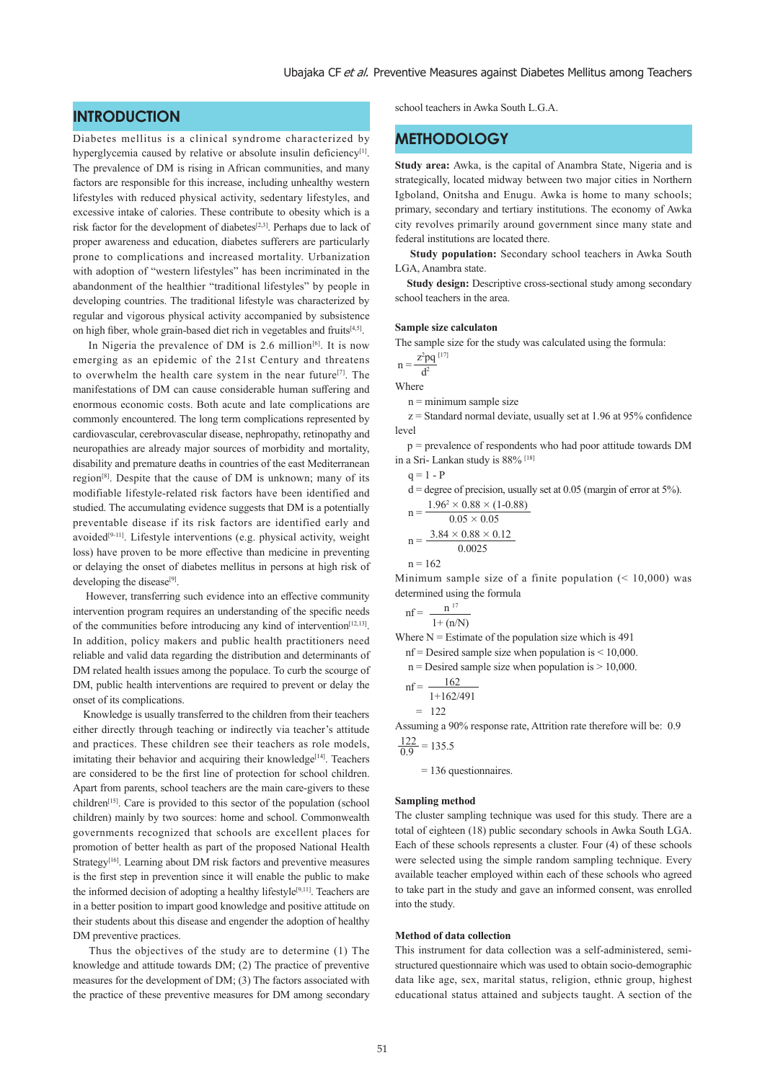## **INTRODUCTION**

Diabetes mellitus is a clinical syndrome characterized by hyperglycemia caused by relative or absolute insulin deficiency<sup>[1]</sup>. The prevalence of DM is rising in African communities, and many factors are responsible for this increase, including unhealthy western lifestyles with reduced physical activity, sedentary lifestyles, and excessive intake of calories. These contribute to obesity which is a risk factor for the development of diabetes[2,3]. Perhaps due to lack of proper awareness and education, diabetes sufferers are particularly prone to complications and increased mortality. Urbanization with adoption of "western lifestyles" has been incriminated in the abandonment of the healthier "traditional lifestyles" by people in developing countries. The traditional lifestyle was characterized by regular and vigorous physical activity accompanied by subsistence on high fiber, whole grain-based diet rich in vegetables and fruits<sup>[4,5]</sup>.

In Nigeria the prevalence of DM is  $2.6$  million<sup>[6]</sup>. It is now emerging as an epidemic of the 21st Century and threatens to overwhelm the health care system in the near future[7]. The manifestations of DM can cause considerable human suffering and enormous economic costs. Both acute and late complications are commonly encountered. The long term complications represented by cardiovascular, cerebrovascular disease, nephropathy, retinopathy and neuropathies are already major sources of morbidity and mortality, disability and premature deaths in countries of the east Mediterranean region[8]. Despite that the cause of DM is unknown; many of its modifiable lifestyle-related risk factors have been identified and studied. The accumulating evidence suggests that DM is a potentially preventable disease if its risk factors are identified early and avoided<sup>[9-11]</sup>. Lifestyle interventions (e.g. physical activity, weight loss) have proven to be more effective than medicine in preventing or delaying the onset of diabetes mellitus in persons at high risk of developing the disease<sup>[9]</sup>.

 However, transferring such evidence into an effective community intervention program requires an understanding of the specific needs of the communities before introducing any kind of intervention<sup>[12,13]</sup>. In addition, policy makers and public health practitioners need reliable and valid data regarding the distribution and determinants of DM related health issues among the populace. To curb the scourge of DM, public health interventions are required to prevent or delay the onset of its complications.

 Knowledge is usually transferred to the children from their teachers either directly through teaching or indirectly via teacher's attitude and practices. These children see their teachers as role models, imitating their behavior and acquiring their knowledge<sup>[14]</sup>. Teachers are considered to be the first line of protection for school children. Apart from parents, school teachers are the main care-givers to these children<sup>[15]</sup>. Care is provided to this sector of the population (school children) mainly by two sources: home and school. Commonwealth governments recognized that schools are excellent places for promotion of better health as part of the proposed National Health Strategy<sup>[16]</sup>. Learning about DM risk factors and preventive measures is the first step in prevention since it will enable the public to make the informed decision of adopting a healthy lifestyle<sup>[9,11]</sup>. Teachers are in a better position to impart good knowledge and positive attitude on their students about this disease and engender the adoption of healthy DM preventive practices.

 Thus the objectives of the study are to determine (1) The knowledge and attitude towards DM; (2) The practice of preventive measures for the development of DM; (3) The factors associated with the practice of these preventive measures for DM among secondary school teachers in Awka South L.G.A.

## **METHODOLOGY**

**Study area:** Awka, is the capital of Anambra State, Nigeria and is strategically, located midway between two major cities in Northern Igboland, Onitsha and Enugu. Awka is home to many schools; primary, secondary and tertiary institutions. The economy of Awka city revolves primarily around government since many state and federal institutions are located there.

 **Study population:** Secondary school teachers in Awka South LGA, Anambra state.

**Study design:** Descriptive cross-sectional study among secondary school teachers in the area.

#### **Sample size calculaton**

The sample size for the study was calculated using the formula:

$$
n = \frac{z^2pq}{4^2}^{[17]}
$$

Where

 $n =$  minimum sample size

 $z =$  Standard normal deviate, usually set at 1.96 at 95% confidence level

 p = prevalence of respondents who had poor attitude towards DM in a Sri- Lankan study is 88% [18]

| $q = 1 - P$ |                                                                         |
|-------------|-------------------------------------------------------------------------|
|             | $d =$ degree of precision, usually set at 0.05 (margin of error at 5%). |
|             | $1.96^2 \times 0.88 \times (1 - 0.88)$                                  |
| $n = -$     | $0.05 \times 0.05$                                                      |
|             | $n = \frac{3.84 \times 0.88 \times 0.12}{1}$                            |
|             | 0.0025                                                                  |

$$
n\,{=}\,162
$$

Minimum sample size of a finite population  $(10,000)$  was determined using the formula

$$
nf = \frac{n^{17}}{1 + (n/N)}
$$

Where  $N =$  Estimate of the population size which is 491

 $nf =$ Desired sample size when population is  $\leq$  10,000.

 $n =$  Desired sample size when population is  $> 10,000$ .

$$
nf = \frac{162}{1 + 162/491}
$$

$$
= 122
$$

Assuming a 90% response rate, Attrition rate therefore will be: 0.9  $\frac{122}{0.9}$  = 135.5

= 136 questionnaires.

#### **Sampling method**

The cluster sampling technique was used for this study. There are a total of eighteen (18) public secondary schools in Awka South LGA. Each of these schools represents a cluster. Four (4) of these schools were selected using the simple random sampling technique. Every available teacher employed within each of these schools who agreed to take part in the study and gave an informed consent, was enrolled into the study.

#### **Method of data collection**

This instrument for data collection was a self-administered, semistructured questionnaire which was used to obtain socio-demographic data like age, sex, marital status, religion, ethnic group, highest educational status attained and subjects taught. A section of the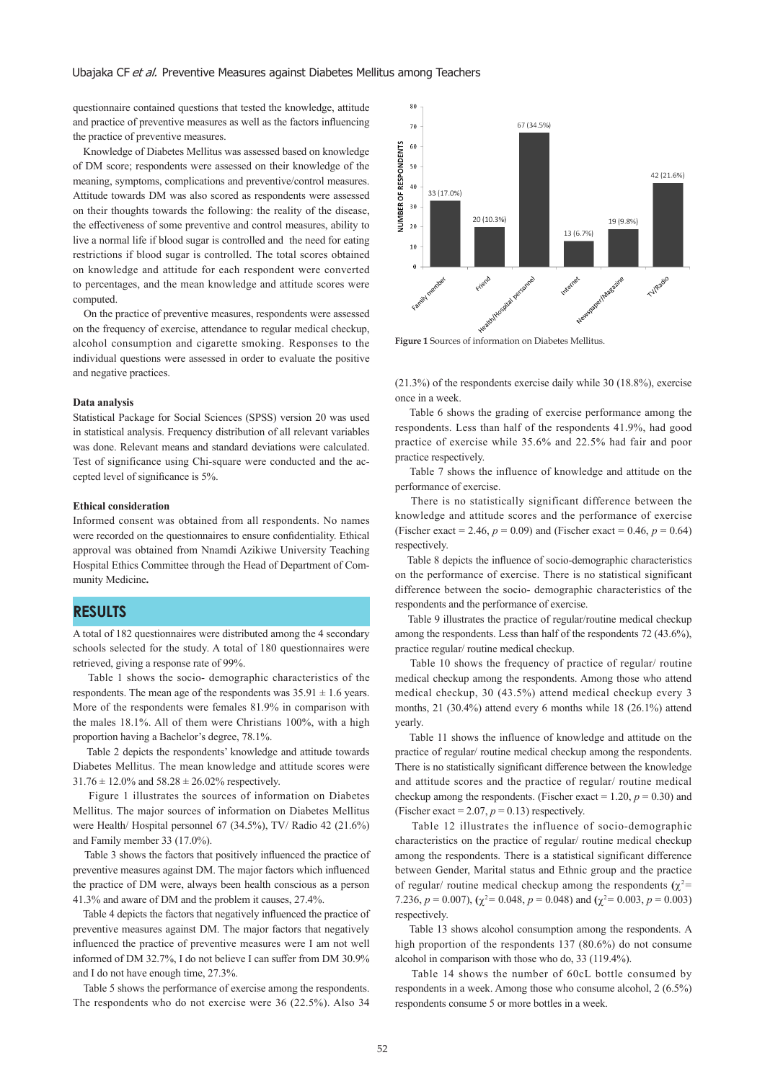questionnaire contained questions that tested the knowledge, attitude and practice of preventive measures as well as the factors influencing the practice of preventive measures.

 Knowledge of Diabetes Mellitus was assessed based on knowledge of DM score; respondents were assessed on their knowledge of the meaning, symptoms, complications and preventive/control measures. Attitude towards DM was also scored as respondents were assessed on their thoughts towards the following: the reality of the disease, the effectiveness of some preventive and control measures, ability to live a normal life if blood sugar is controlled and the need for eating restrictions if blood sugar is controlled. The total scores obtained on knowledge and attitude for each respondent were converted to percentages, and the mean knowledge and attitude scores were computed.

 On the practice of preventive measures, respondents were assessed on the frequency of exercise, attendance to regular medical checkup, alcohol consumption and cigarette smoking. Responses to the individual questions were assessed in order to evaluate the positive and negative practices.

#### **Data analysis**

Statistical Package for Social Sciences (SPSS) version 20 was used in statistical analysis. Frequency distribution of all relevant variables was done. Relevant means and standard deviations were calculated. Test of significance using Chi-square were conducted and the accepted level of significance is 5%.

#### **Ethical consideration**

Informed consent was obtained from all respondents. No names were recorded on the questionnaires to ensure confidentiality. Ethical approval was obtained from Nnamdi Azikiwe University Teaching Hospital Ethics Committee through the Head of Department of Community Medicine**.**

## **RESULTS**

A total of 182 questionnaires were distributed among the 4 secondary schools selected for the study. A total of 180 questionnaires were retrieved, giving a response rate of 99%.

 Table 1 shows the socio- demographic characteristics of the respondents. The mean age of the respondents was  $35.91 \pm 1.6$  years. More of the respondents were females 81.9% in comparison with the males 18.1%. All of them were Christians 100%, with a high proportion having a Bachelor's degree, 78.1%.

 Table 2 depicts the respondents' knowledge and attitude towards Diabetes Mellitus. The mean knowledge and attitude scores were  $31.76 \pm 12.0\%$  and  $58.28 \pm 26.02\%$  respectively.

 Figure 1 illustrates the sources of information on Diabetes Mellitus. The major sources of information on Diabetes Mellitus were Health/ Hospital personnel 67 (34.5%), TV/ Radio 42 (21.6%) and Family member 33 (17.0%).

 Table 3 shows the factors that positively influenced the practice of preventive measures against DM. The major factors which influenced the practice of DM were, always been health conscious as a person 41.3% and aware of DM and the problem it causes, 27.4%.

 Table 4 depicts the factors that negatively influenced the practice of preventive measures against DM. The major factors that negatively influenced the practice of preventive measures were I am not well informed of DM 32.7%, I do not believe I can suffer from DM 30.9% and I do not have enough time, 27.3%.

 Table 5 shows the performance of exercise among the respondents. The respondents who do not exercise were 36 (22.5%). Also 34



Figure 1 Sources of information on Diabetes Mellitus.

(21.3%) of the respondents exercise daily while 30 (18.8%), exercise once in a week.

 Table 6 shows the grading of exercise performance among the respondents. Less than half of the respondents 41.9%, had good practice of exercise while 35.6% and 22.5% had fair and poor practice respectively.

 Table 7 shows the influence of knowledge and attitude on the performance of exercise.

 There is no statistically significant difference between the knowledge and attitude scores and the performance of exercise (Fischer exact = 2.46,  $p = 0.09$ ) and (Fischer exact = 0.46,  $p = 0.64$ ) respectively.

 Table 8 depicts the influence of socio-demographic characteristics on the performance of exercise. There is no statistical significant difference between the socio- demographic characteristics of the respondents and the performance of exercise.

 Table 9 illustrates the practice of regular/routine medical checkup among the respondents. Less than half of the respondents 72 (43.6%), practice regular/ routine medical checkup.

 Table 10 shows the frequency of practice of regular/ routine medical checkup among the respondents. Among those who attend medical checkup, 30 (43.5%) attend medical checkup every 3 months, 21 (30.4%) attend every 6 months while 18 (26.1%) attend yearly.

 Table 11 shows the influence of knowledge and attitude on the practice of regular/ routine medical checkup among the respondents. There is no statistically significant difference between the knowledge and attitude scores and the practice of regular/ routine medical checkup among the respondents. (Fischer exact  $= 1.20, p = 0.30$ ) and (Fischer exact  $= 2.07, p = 0.13$ ) respectively.

 Table 12 illustrates the influence of socio-demographic characteristics on the practice of regular/ routine medical checkup among the respondents. There is a statistical significant difference between Gender, Marital status and Ethnic group and the practice of regular/ routine medical checkup among the respondents  $(\chi^2 =$ 7.236,  $p = 0.007$ ),  $(\chi^2 = 0.048, p = 0.048)$  and  $(\chi^2 = 0.003, p = 0.003)$ respectively.

 Table 13 shows alcohol consumption among the respondents. A high proportion of the respondents 137 (80.6%) do not consume alcohol in comparison with those who do, 33 (119.4%).

 Table 14 shows the number of 60cL bottle consumed by respondents in a week. Among those who consume alcohol, 2 (6.5%) respondents consume 5 or more bottles in a week.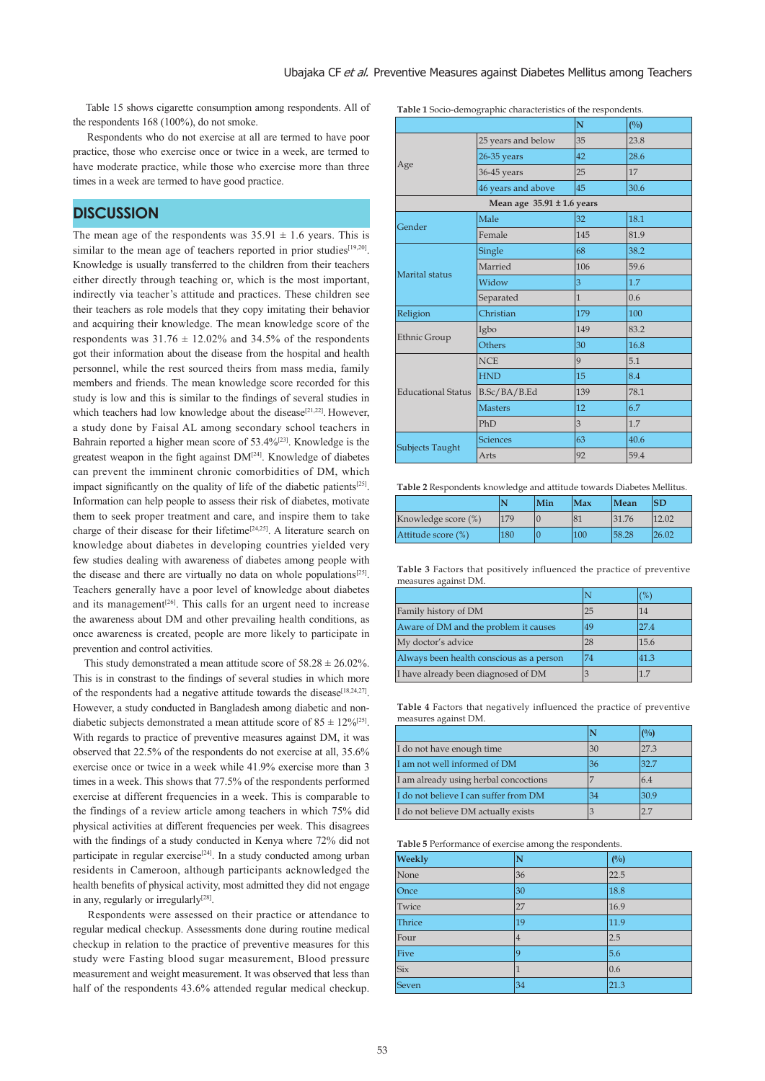Table 15 shows cigarette consumption among respondents. All of the respondents 168 (100%), do not smoke.

 Respondents who do not exercise at all are termed to have poor practice, those who exercise once or twice in a week, are termed to have moderate practice, while those who exercise more than three times in a week are termed to have good practice.

## **DISCUSSION**

The mean age of the respondents was  $35.91 \pm 1.6$  years. This is similar to the mean age of teachers reported in prior studies[19,20]. Knowledge is usually transferred to the children from their teachers either directly through teaching or, which is the most important, indirectly via teacher's attitude and practices. These children see their teachers as role models that they copy imitating their behavior and acquiring their knowledge. The mean knowledge score of the respondents was  $31.76 \pm 12.02\%$  and  $34.5\%$  of the respondents got their information about the disease from the hospital and health personnel, while the rest sourced theirs from mass media, family members and friends. The mean knowledge score recorded for this study is low and this is similar to the findings of several studies in which teachers had low knowledge about the disease<sup>[21,22]</sup>. However, a study done by Faisal AL among secondary school teachers in Bahrain reported a higher mean score of 53.4%[23]. Knowledge is the greatest weapon in the fight against DM[24]. Knowledge of diabetes can prevent the imminent chronic comorbidities of DM, which impact significantly on the quality of life of the diabetic patients<sup>[25]</sup>. Information can help people to assess their risk of diabetes, motivate them to seek proper treatment and care, and inspire them to take charge of their disease for their lifetime<sup>[24,25]</sup>. A literature search on knowledge about diabetes in developing countries yielded very few studies dealing with awareness of diabetes among people with the disease and there are virtually no data on whole populations<sup>[25]</sup>. Teachers generally have a poor level of knowledge about diabetes and its management<sup>[26]</sup>. This calls for an urgent need to increase the awareness about DM and other prevailing health conditions, as once awareness is created, people are more likely to participate in prevention and control activities.

This study demonstrated a mean attitude score of  $58.28 \pm 26.02\%$ . This is in constrast to the findings of several studies in which more of the respondents had a negative attitude towards the disease<sup>[18,24,27]</sup>. However, a study conducted in Bangladesh among diabetic and nondiabetic subjects demonstrated a mean attitude score of  $85 \pm 12\%^{[25]}$ . With regards to practice of preventive measures against DM, it was observed that 22.5% of the respondents do not exercise at all, 35.6% exercise once or twice in a week while 41.9% exercise more than 3 times in a week. This shows that 77.5% of the respondents performed exercise at different frequencies in a week. This is comparable to the findings of a review article among teachers in which 75% did physical activities at different frequencies per week. This disagrees with the findings of a study conducted in Kenya where 72% did not participate in regular exercise<sup>[24]</sup>. In a study conducted among urban residents in Cameroon, although participants acknowledged the health benefits of physical activity, most admitted they did not engage in any, regularly or irregularly<sup>[28]</sup>.

 Respondents were assessed on their practice or attendance to regular medical checkup. Assessments done during routine medical checkup in relation to the practice of preventive measures for this study were Fasting blood sugar measurement, Blood pressure measurement and weight measurement. It was observed that less than half of the respondents 43.6% attended regular medical checkup.

| Table 1 Socio-demographic characteristics of the respondents. |  |  |  |
|---------------------------------------------------------------|--|--|--|
|---------------------------------------------------------------|--|--|--|

|                           |                                | N            | (%)  |
|---------------------------|--------------------------------|--------------|------|
|                           | 25 years and below             | 35           | 23.8 |
|                           | 26-35 years                    | 42           | 28.6 |
| Age                       | 36-45 years                    | 25           | 17   |
|                           | 46 years and above             | 45           | 30.6 |
|                           | Mean age $35.91 \pm 1.6$ years |              |      |
| Gender                    | Male                           | 32           | 18.1 |
|                           | Female                         | 145          | 81.9 |
|                           | Single                         | 68           | 38.2 |
| Marital status            | Married                        | 106          | 59.6 |
|                           | Widow                          | 3            | 1.7  |
|                           | Separated                      | $\mathbf{1}$ | 0.6  |
| Religion                  | Christian                      | 179          | 100  |
|                           | Igbo                           | 149          | 83.2 |
| Ethnic Group              | <b>Others</b>                  | 30           | 16.8 |
|                           | <b>NCE</b>                     | 9            | 5.1  |
|                           | <b>HND</b>                     | 15           | 8.4  |
| <b>Educational Status</b> | B.Sc/BA/B.Ed                   | 139          | 78.1 |
|                           | <b>Masters</b>                 | 12           | 6.7  |
|                           | PhD                            | 3            | 1.7  |
|                           | <b>Sciences</b>                | 63           | 40.6 |
| Subjects Taught           | Arts                           | 92           | 59.4 |
|                           |                                |              |      |

**Table 2** Respondents knowledge and attitude towards Diabetes Mellitus.

|                     |     | Min | Max | Mean  | <b>SD</b> |
|---------------------|-----|-----|-----|-------|-----------|
| Knowledge score (%) | 179 |     | 81  | 31.76 | 12.02     |
| Attitude score (%)  | 180 |     | 100 | 58.28 | 26.02     |

**Table 3** Factors that positively influenced the practice of preventive measures against DM.

|                                          |    | $\%$ |
|------------------------------------------|----|------|
| Family history of DM                     | 25 | 14   |
| Aware of DM and the problem it causes    | 49 | 27.4 |
| My doctor's advice                       | 28 | 15.6 |
| Always been health conscious as a person | 74 | 41.3 |
| I have already been diagnosed of DM      | 3  |      |

**Table 4** Factors that negatively influenced the practice of preventive measures against DM.

|                                       |    | (%)  |
|---------------------------------------|----|------|
| I do not have enough time             | 30 | 27.3 |
| I am not well informed of DM          | 36 | 32.7 |
| I am already using herbal concoctions |    | 6.4  |
| I do not believe I can suffer from DM | 34 | 30.9 |
| I do not believe DM actually exists   |    | 27   |

**Table 5** Performance of exercise among the respondents.

| Weekly | N           | $(^{0}/_{0})$ |
|--------|-------------|---------------|
| None   | 36          | 22.5          |
| Once   | 30          | 18.8          |
| Twice  | 27          | 16.9          |
| Thrice | 19          | 11.9          |
| Four   | 4           | 2.5           |
| Five   | $\mathbf Q$ | 5.6           |
| Six    | 1           | 0.6           |
| Seven  | 34          | 21.3          |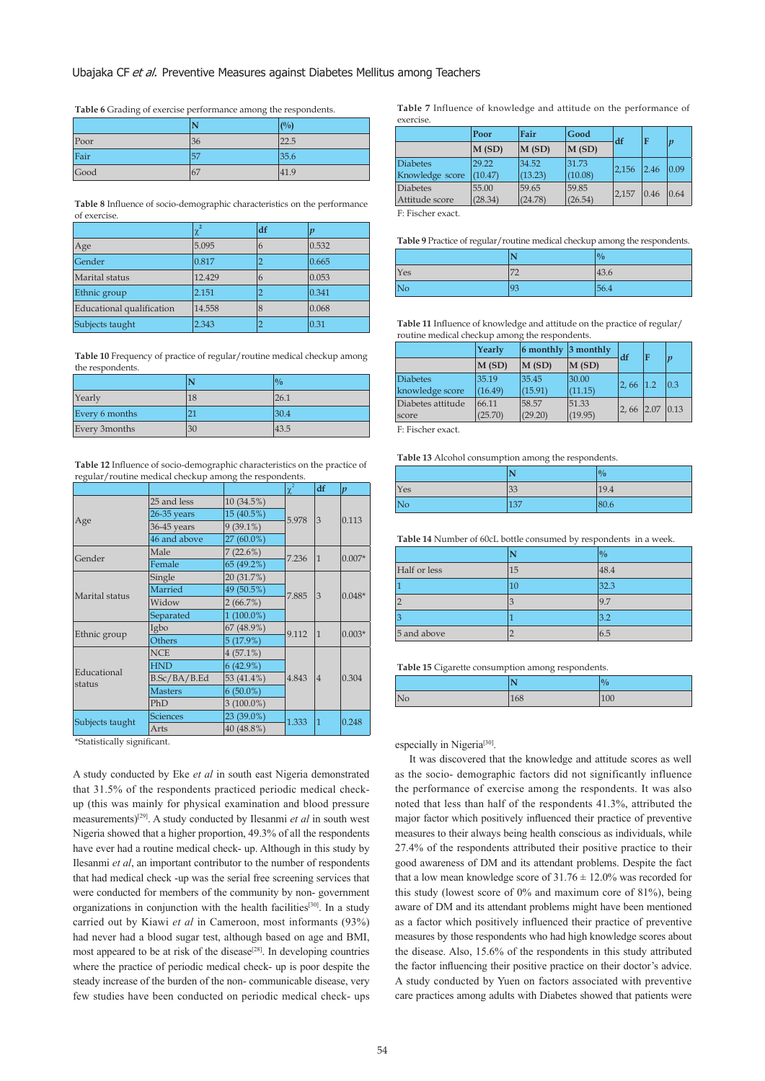#### Ubajaka CF et al. Preventive Measures against Diabetes Mellitus among Teachers

**Table 6** Grading of exercise performance among the respondents.

|      | N   | (0/0) |
|------|-----|-------|
| Poor | 36  | 22.5  |
| Fair | 57  | 35.6  |
| Good | 167 | 41.9  |

**Table 8** Influence of socio-demographic characteristics on the performance of exercise.

|                           | χ*     | df | $\boldsymbol{v}$ |
|---------------------------|--------|----|------------------|
| Age                       | 5.095  | 6  | 0.532            |
| Gender                    | 0.817  | ∍  | 0.665            |
| Marital status            | 12.429 | 6  | 0.053            |
| Ethnic group              | 2.151  |    | 0.341            |
| Educational qualification | 14.558 | 8  | 0.068            |
| Subjects taught           | 2.343  |    | 0.31             |

Table 10 Frequency of practice of regular/routine medical checkup among the respondents.

|                |    | $\frac{10}{6}$ |
|----------------|----|----------------|
| Yearly         | 18 | 26.1           |
| Every 6 months |    | 30.4           |
| Every 3months  | 30 | 43.5           |

**Table 12** Influence of socio-demographic characteristics on the practice of regular/routine medical checkup among the respondents.

|                       |                 |              | $\chi^2$ | df             | $\boldsymbol{p}$ |
|-----------------------|-----------------|--------------|----------|----------------|------------------|
|                       | 25 and less     | 10 (34.5%)   |          |                | 0.113            |
|                       | $26-35$ years   | 15 (40.5%)   | 5.978    | 3              |                  |
| Age                   | 36-45 years     | $9(39.1\%)$  |          |                |                  |
|                       | 46 and above    | 27 (60.0%)   |          |                |                  |
| Gender                | Male            | 7(22.6%)     | 7.236    | $\vert$ 1      | $0.007*$         |
|                       | Female          | 65 (49.2%)   |          |                |                  |
|                       | Single          | 20 (31.7%)   |          |                | $0.048*$         |
| Marital status        | Married         | 49 (50.5%)   | 7.885    | $\overline{3}$ |                  |
|                       | Widow           | 2(66.7%)     |          |                |                  |
|                       | Separated       | $1(100.0\%)$ |          |                |                  |
|                       | Igbo            | 67 (48.9%)   | 9.112    | 1              | $0.003*$         |
| Ethnic group          | Others          | 5(17.9%)     |          |                |                  |
|                       | <b>NCE</b>      | $4(57.1\%)$  |          | $\vert 4$      | 0.304            |
|                       | <b>HND</b>      | 6(42.9%)     |          |                |                  |
| Educational<br>status | B.Sc/BA/B.Ed    | 53 (41.4%)   | 4.843    |                |                  |
|                       | <b>Masters</b>  | $6(50.0\%)$  |          |                |                  |
|                       | PhD             | $3(100.0\%)$ |          |                |                  |
|                       | <b>Sciences</b> | $23(39.0\%)$ | 1.333    |                |                  |
| Subjects taught       | Arts            | 40 (48.8%)   |          | 1              | 0.248            |

\*Statistically significant.

A study conducted by Eke *et al* in south east Nigeria demonstrated that 31.5% of the respondents practiced periodic medical checkup (this was mainly for physical examination and blood pressure measurements)[29]. A study conducted by Ilesanmi *et al* in south west Nigeria showed that a higher proportion, 49.3% of all the respondents have ever had a routine medical check- up. Although in this study by Ilesanmi *et al*, an important contributor to the number of respondents that had medical check -up was the serial free screening services that were conducted for members of the community by non- government organizations in conjunction with the health facilities<sup>[30]</sup>. In a study carried out by Kiawi *et al* in Cameroon, most informants (93%) had never had a blood sugar test, although based on age and BMI, most appeared to be at risk of the disease<sup>[28]</sup>. In developing countries where the practice of periodic medical check- up is poor despite the steady increase of the burden of the non- communicable disease, very few studies have been conducted on periodic medical check- ups **Table 7** Influence of knowledge and attitude on the performance of exercise

|                 | Poor              | Fair    | Good             | df    |      | $\boldsymbol{v}$ |
|-----------------|-------------------|---------|------------------|-------|------|------------------|
|                 | $\mathbf{M}$ (SD) | M(SD)   | $\vert$ M $(SD)$ |       |      |                  |
| <b>Diabetes</b> | 29.22             | 34.52   | 31.73            | 2.156 | 2.46 | 0.09             |
| Knowledge score | (10.47)           | (13.23) | (10.08)          |       |      |                  |
| <b>Diabetes</b> | 55.00             | 59.65   | 59.85            | 2.157 | 0.46 | 0.64             |
| Attitude score  | (28.34)           | (24.78) | (26.54)          |       |      |                  |

F: Fischer exact.

Table 9 Practice of regular/routine medical checkup among the respondents.

|     | N                             | $\frac{0}{0}$ |
|-----|-------------------------------|---------------|
| Yes | $\overline{72}$<br>$\sqrt{2}$ | 43.6          |
|     | 93                            | 56.4          |

**Table 11** Influence of knowledge and attitude on the practice of regular/ routine medical checkup among the respondents.

|                   | Yearly  | 6 monthly $ 3$ monthly |                   | df          | F   |              |
|-------------------|---------|------------------------|-------------------|-------------|-----|--------------|
|                   | M(SD)   | $\mathbf{M}$ (SD)      | $\mathbf{M}$ (SD) |             |     | $\mathbf{n}$ |
| <b>Diabetes</b>   | 35.19   | 35.45                  | 30.00             | 2,66        | 1.2 | 0.3          |
| knowledge score   | (16.49) | (15.91)                | (11.15)           |             |     |              |
| Diabetes attitude | 66.11   | 58.57                  | 51.33             | $2,66$ 2.07 |     | 0.13         |
| score             | (25.70) | (29.20)                | (19.95)           |             |     |              |
|                   |         |                        |                   |             |     |              |

F: Fischer exact.

**Table 13** Alcohol consumption among the respondents.

|     | N               | $\frac{0}{0}$ |
|-----|-----------------|---------------|
| Yes | $\overline{33}$ | 19.4          |
| No  | 137             | 80.6          |

**Table 14** Number of 60cL bottle consumed by respondents in a week.

|              | N  | $\frac{0}{0}$ |
|--------------|----|---------------|
| Half or less | 15 | 48.4          |
|              | 10 | 32.3          |
|              | 3  | 9.7           |
|              |    | 3.2           |
| 5 and above  |    | 6.5           |

**Table 15** Cigarette consumption among respondents.

|    | <b>NT</b><br>1 V | $\frac{10}{6}$ |
|----|------------------|----------------|
| No | 168              | 100            |

especially in Nigeria<sup>[30]</sup>.

 It was discovered that the knowledge and attitude scores as well as the socio- demographic factors did not significantly influence the performance of exercise among the respondents. It was also noted that less than half of the respondents 41.3%, attributed the major factor which positively influenced their practice of preventive measures to their always being health conscious as individuals, while 27.4% of the respondents attributed their positive practice to their good awareness of DM and its attendant problems. Despite the fact that a low mean knowledge score of  $31.76 \pm 12.0\%$  was recorded for this study (lowest score of 0% and maximum core of 81%), being aware of DM and its attendant problems might have been mentioned as a factor which positively influenced their practice of preventive measures by those respondents who had high knowledge scores about the disease. Also, 15.6% of the respondents in this study attributed the factor influencing their positive practice on their doctor's advice. A study conducted by Yuen on factors associated with preventive care practices among adults with Diabetes showed that patients were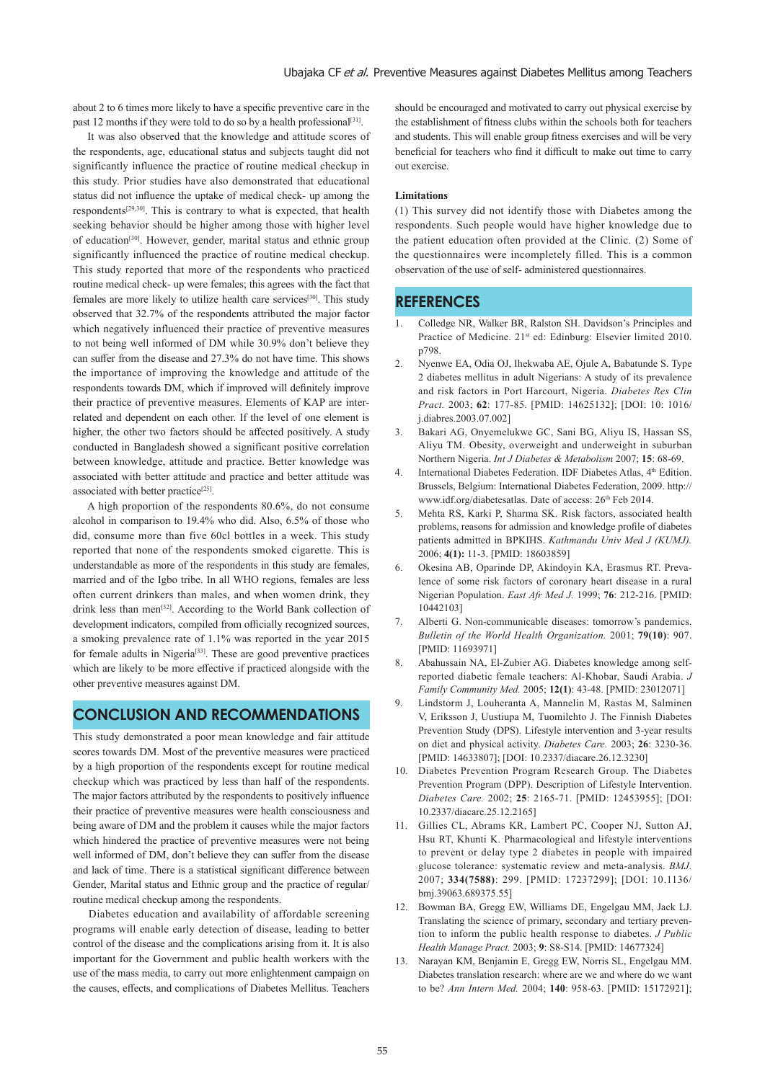about 2 to 6 times more likely to have a specific preventive care in the past 12 months if they were told to do so by a health professional<sup>[31]</sup>.

 It was also observed that the knowledge and attitude scores of the respondents, age, educational status and subjects taught did not significantly influence the practice of routine medical checkup in this study. Prior studies have also demonstrated that educational status did not influence the uptake of medical check- up among the respondents[29,30]. This is contrary to what is expected, that health seeking behavior should be higher among those with higher level of education[30]. However, gender, marital status and ethnic group significantly influenced the practice of routine medical checkup. This study reported that more of the respondents who practiced routine medical check- up were females; this agrees with the fact that females are more likely to utilize health care services[30]. This study observed that 32.7% of the respondents attributed the major factor which negatively influenced their practice of preventive measures to not being well informed of DM while 30.9% don't believe they can suffer from the disease and 27.3% do not have time. This shows the importance of improving the knowledge and attitude of the respondents towards DM, which if improved will definitely improve their practice of preventive measures. Elements of KAP are interrelated and dependent on each other. If the level of one element is higher, the other two factors should be affected positively. A study conducted in Bangladesh showed a significant positive correlation between knowledge, attitude and practice. Better knowledge was associated with better attitude and practice and better attitude was associated with better practice<sup>[25]</sup>.

 A high proportion of the respondents 80.6%, do not consume alcohol in comparison to 19.4% who did. Also, 6.5% of those who did, consume more than five 60cl bottles in a week. This study reported that none of the respondents smoked cigarette. This is understandable as more of the respondents in this study are females, married and of the Igbo tribe. In all WHO regions, females are less often current drinkers than males, and when women drink, they drink less than men[32]. According to the World Bank collection of development indicators, compiled from officially recognized sources, a smoking prevalence rate of 1.1% was reported in the year 2015 for female adults in Nigeria<sup>[33]</sup>. These are good preventive practices which are likely to be more effective if practiced alongside with the other preventive measures against DM.

## **CONCLUSION AND RECOMMENDATIONS**

This study demonstrated a poor mean knowledge and fair attitude scores towards DM. Most of the preventive measures were practiced by a high proportion of the respondents except for routine medical checkup which was practiced by less than half of the respondents. The major factors attributed by the respondents to positively influence their practice of preventive measures were health consciousness and being aware of DM and the problem it causes while the major factors which hindered the practice of preventive measures were not being well informed of DM, don't believe they can suffer from the disease and lack of time. There is a statistical significant difference between Gender, Marital status and Ethnic group and the practice of regular/ routine medical checkup among the respondents.

 Diabetes education and availability of affordable screening programs will enable early detection of disease, leading to better control of the disease and the complications arising from it. It is also important for the Government and public health workers with the use of the mass media, to carry out more enlightenment campaign on the causes, effects, and complications of Diabetes Mellitus. Teachers should be encouraged and motivated to carry out physical exercise by the establishment of fitness clubs within the schools both for teachers and students. This will enable group fitness exercises and will be very beneficial for teachers who find it difficult to make out time to carry out exercise.

#### **Limitations**

(1) This survey did not identify those with Diabetes among the respondents. Such people would have higher knowledge due to the patient education often provided at the Clinic. (2) Some of the questionnaires were incompletely filled. This is a common observation of the use of self- administered questionnaires.

## **REFERENCES**

- 1. Colledge NR, Walker BR, Ralston SH. Davidson's Principles and Practice of Medicine. 21<sup>st</sup> ed: Edinburg: Elsevier limited 2010. p798.
- 2. Nyenwe EA, Odia OJ, Ihekwaba AE, Ojule A, Babatunde S. Type 2 diabetes mellitus in adult Nigerians: A study of its prevalence and risk factors in Port Harcourt, Nigeria. *Diabetes Res Clin Pract.* 2003; **62**: 177-85. [PMID: 14625132]; [DOI: 10: 1016/ j.diabres.2003.07.002]
- 3. Bakari AG, Onyemelukwe GC, Sani BG, Aliyu IS, Hassan SS, Aliyu TM. Obesity, overweight and underweight in suburban Northern Nigeria. *Int J Diabetes & Metabolism* 2007; **15**: 68-69.
- 4. International Diabetes Federation. IDF Diabetes Atlas, 4<sup>th</sup> Edition. Brussels, Belgium: International Diabetes Federation, 2009. http:// www.idf.org/diabetesatlas. Date of access: 26<sup>th</sup> Feb 2014.
- 5. Mehta RS, Karki P, Sharma SK. Risk factors, associated health problems, reasons for admission and knowledge profile of diabetes patients admitted in BPKIHS. *Kathmandu Univ Med J (KUMJ).*  2006; **4(1):** 11-3. [PMID: 18603859]
- 6. Okesina AB, Oparinde DP, Akindoyin KA, Erasmus RT. Prevalence of some risk factors of coronary heart disease in a rural Nigerian Population. *East Afr Med J.* 1999; **76**: 212-216. [PMID: 10442103]
- 7. Alberti G. Non-communicable diseases: tomorrow's pandemics. *Bulletin of the World Health Organization.* 2001; **79(10)**: 907. [PMID: 11693971]
- 8. Abahussain NA, El-Zubier AG. Diabetes knowledge among selfreported diabetic female teachers: Al-Khobar, Saudi Arabia. *J Family Community Med.* 2005; **12(1)**: 43-48. [PMID: 23012071]
- 9. Lindstorm J, Louheranta A, Mannelin M, Rastas M, Salminen V, Eriksson J, Uustiupa M, Tuomilehto J. The Finnish Diabetes Prevention Study (DPS). Lifestyle intervention and 3-year results on diet and physical activity. *Diabetes Care.* 2003; **26**: 3230-36. [PMID: 14633807]; [DOI: 10.2337/diacare.26.12.3230]
- 10. Diabetes Prevention Program Research Group. The Diabetes Prevention Program (DPP). Description of Lifestyle Intervention. *Diabetes Care.* 2002; **25**: 2165-71. [PMID: 12453955]; [DOI: 10.2337/diacare.25.12.2165]
- 11. Gillies CL, Abrams KR, Lambert PC, Cooper NJ, Sutton AJ, Hsu RT, Khunti K. Pharmacological and lifestyle interventions to prevent or delay type 2 diabetes in people with impaired glucose tolerance: systematic review and meta-analysis. *BMJ.*  2007; **334(7588)**: 299. [PMID: 17237299]; [DOI: 10.1136/ bmj.39063.689375.55]
- 12. Bowman BA, Gregg EW, Williams DE, Engelgau MM, Jack LJ. Translating the science of primary, secondary and tertiary prevention to inform the public health response to diabetes. *J Public Health Manage Pract.* 2003; **9**: S8-S14. [PMID: 14677324]
- 13. Narayan KM, Benjamin E, Gregg EW, Norris SL, Engelgau MM. Diabetes translation research: where are we and where do we want to be? *Ann Intern Med.* 2004; **140**: 958-63. [PMID: 15172921];